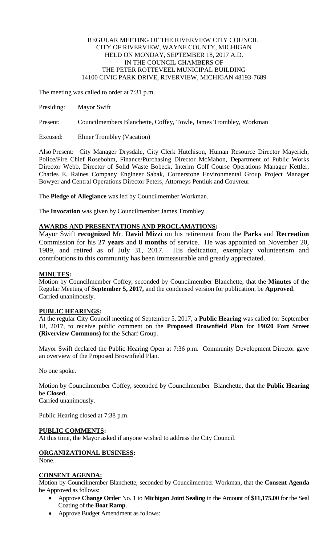#### REGULAR MEETING OF THE RIVERVIEW CITY COUNCIL CITY OF RIVERVIEW, WAYNE COUNTY, MICHIGAN HELD ON MONDAY, SEPTEMBER 18, 2017 A.D. IN THE COUNCIL CHAMBERS OF THE PETER ROTTEVEEL MUNICIPAL BUILDING 14100 CIVIC PARK DRIVE, RIVERVIEW, MICHIGAN 48193-7689

The meeting was called to order at 7:31 p.m.

Presiding: Mayor Swift

Present: Councilmembers Blanchette, Coffey, Towle, James Trombley, Workman

Excused: Elmer Trombley (Vacation)

Also Present: City Manager Drysdale, City Clerk Hutchison, Human Resource Director Mayerich, Police/Fire Chief Rosebohm, Finance/Purchasing Director McMahon, Department of Public Works Director Webb, Director of Solid Waste Bobeck, Interim Golf Course Operations Manager Kettler, Charles E. Raines Company Engineer Sabak, Cornerstone Environmental Group Project Manager Bowyer and Central Operations Director Peters, Attorneys Pentiuk and Couvreur

The **Pledge of Allegiance** was led by Councilmember Workman.

The **Invocation** was given by Councilmember James Trombley.

#### **AWARDS AND PRESENTATIONS AND PROCLAMATIONS:**

Mayor Swift **recognized** Mr. **David Mizz**i on his retirement from the **Parks** and **Recreation** Commission for his **27 years** and **8 months** of service. He was appointed on November 20, 1989, and retired as of July 31, 2017. His dedication, exemplary volunteerism and contributions to this community has been immeasurable and greatly appreciated.

#### **MINUTES:**

Motion by Councilmember Coffey, seconded by Councilmember Blanchette, that the **Minutes** of the Regular Meeting of **September 5, 2017,** and the condensed version for publication, be **Approved**. Carried unanimously.

# **PUBLIC HEARINGS:**

At the regular City Council meeting of September 5, 2017, a **Public Hearing** was called for September 18, 2017, to receive public comment on the **Proposed Brownfield Plan** for **19020 Fort Street (Riverview Commons)** for the Scharf Group.

Mayor Swift declared the Public Hearing Open at 7:36 p.m. Community Development Director gave an overview of the Proposed Brownfield Plan.

No one spoke.

Motion by Councilmember Coffey, seconded by Councilmember Blanchette, that the **Public Hearing**  be **Closed**. Carried unanimously.

Public Hearing closed at 7:38 p.m.

#### **PUBLIC COMMENTS:**

At this time, the Mayor asked if anyone wished to address the City Council.

# **ORGANIZATIONAL BUSINESS:**

None.

#### **CONSENT AGENDA:**

Motion by Councilmember Blanchette, seconded by Councilmember Workman, that the **Consent Agenda**  be Approved as follows:

- Approve **Change Order** No. 1 to **Michigan Joint Sealing** in the Amount of **\$11,175.00** for the Seal Coating of the **Boat Ramp**.
- Approve Budget Amendment as follows: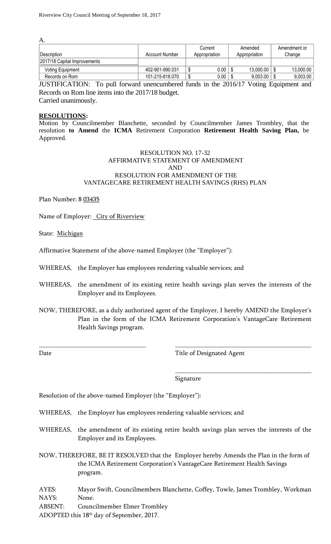| А.                           |                       |                 |                  |              |
|------------------------------|-----------------------|-----------------|------------------|--------------|
|                              |                       | Current         | Amended          | Amendment or |
| Description                  | <b>Account Number</b> | Appropriation   | Appropriation    | Change       |
| 2017/18 Capital Improvements |                       |                 |                  |              |
| <b>Voting Equipment</b>      | 402-901-990.031       | 0.00<br>ື       | $13,000.00$   \$ | 13,000.00    |
| Records on Rom               | 101-215-818.070       | 0.00<br>᠊ᠭ<br>ີ | $9,003.00$   \$  | 9,003.00     |

JUSTIFICATION: To pull forward unencumbered funds in the 2016/17 Voting Equipment and Records on Rom line items into the 2017/18 budget. Carried unanimously.

**RESOLUTIONS:**

Motion by Councilmember Blanchette, seconded by Councilmember James Trombley, that the resolution **to Amend** the **ICMA** Retirement Corporation **Retirement Health Saving Plan,** be Approved.

#### RESOLUTION NO. 17-32 AFFIRMATIVE STATEMENT OF AMENDMENT AND RESOLUTION FOR AMENDMENT OF THE VANTAGECARE RETIREMENT HEALTH SAVINGS (RHS) PLAN

Plan Number: 8 03435

Name of Employer: City of Riverview

State: Michigan

Affirmative Statement of the above-named Employer (the "Employer"):

WHEREAS, the Employer has employees rendering valuable services; and

WHEREAS, the amendment of its existing retire health savings plan serves the interests of the Employer and its Employees.

NOW, THEREFORE, as a duly authorized agent of the Employer, I hereby AMEND the Employer's Plan in the form of the ICMA Retirement Corporation's VantageCare Retirement Health Savings program.

\_\_\_\_\_\_\_\_\_\_\_\_\_\_\_\_\_\_\_\_\_\_\_\_\_\_\_\_\_\_\_\_\_ \_\_\_\_\_\_\_\_\_\_\_\_\_\_\_\_\_\_\_\_\_\_\_\_\_\_\_\_\_\_\_\_\_\_\_\_\_\_\_\_\_\_

Date Title of Designated Agent

\_\_\_\_\_\_\_\_\_\_\_\_\_\_\_\_\_\_\_\_\_\_\_\_\_\_\_\_\_\_\_\_\_\_\_\_\_\_\_\_\_\_

Signature

Resolution of the above-named Employer (the "Employer"):

- WHEREAS, the Employer has employees rendering valuable services; and
- WHEREAS, the amendment of its existing retire health savings plan serves the interests of the Employer and its Employees.

NOW, THEREFORE, BE IT RESOLVED that the Employer hereby Amends the Plan in the form of the ICMA Retirement Corporation's VantageCare Retirement Health Savings program.

AYES: Mayor Swift, Councilmembers Blanchette, Coffey, Towle, James Trombley, Workman NAYS: None.

ABSENT: Councilmember Elmer Trombley

ADOPTED this 18th day of September, 2017.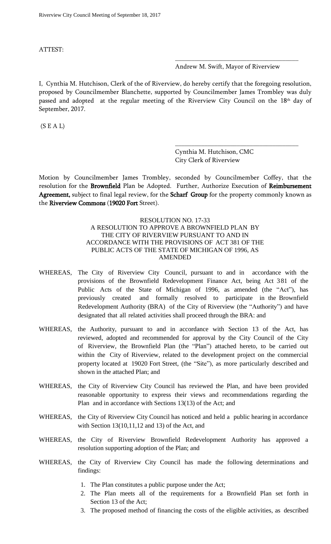ATTEST:

Andrew M. Swift, Mayor of Riverview

\_\_\_\_\_\_\_\_\_\_\_\_\_\_\_\_\_\_\_\_\_\_\_\_\_\_\_\_\_\_\_\_\_\_\_\_\_\_

\_\_\_\_\_\_\_\_\_\_\_\_\_\_\_\_\_\_\_\_\_\_\_\_\_\_\_\_\_\_\_\_\_\_\_\_\_\_

I, Cynthia M. Hutchison, Clerk of the of Riverview, do hereby certify that the foregoing resolution, proposed by Councilmember Blanchette, supported by Councilmember James Trombley was duly passed and adopted at the regular meeting of the Riverview City Council on the 18<sup>th</sup> day of September, 2017.

 $(S E A L)$ 

Cynthia M. Hutchison, CMC City Clerk of Riverview

Motion by Councilmember James Trombley, seconded by Councilmember Coffey, that the resolution for the Brownfield Plan be Adopted. Further, Authorize Execution of Reimbursement Agreement, subject to final legal review, for the Scharf Group for the property commonly known as the Riverview Commons (19020 Fort Street).

# RESOLUTION NO. 17-33 A RESOLUTION TO APPROVE A BROWNFIELD PLAN BY THE CITY OF RIVERVIEW PURSUANT TO AND IN ACCORDANCE WITH THE PROVISIONS OF ACT 381 OF THE PUBLIC ACTS OF THE STATE OF MICHIGAN OF 1996, AS AMENDED

- WHEREAS, The City of Riverview City Council, pursuant to and in accordance with the provisions of the Brownfield Redevelopment Finance Act, being Act 381 of the Public Acts of the State of Michigan of 1996, as amended (the "Act"), has previously created and formally resolved to participate in the Brownfield Redevelopment Authority (BRA) of the City of Riverview (the "Authority") and have designated that all related activities shall proceed through the BRA: and
- WHEREAS, the Authority, pursuant to and in accordance with Section 13 of the Act, has reviewed, adopted and recommended for approval by the City Council of the City of Riverview, the Brownfield Plan (the "Plan") attached hereto, to be carried out within the City of Riverview, related to the development project on the commercial property located at 19020 Fort Street, (the "Site"), as more particularly described and shown in the attached Plan; and
- WHEREAS, the City of Riverview City Council has reviewed the Plan, and have been provided reasonable opportunity to express their views and recommendations regarding the Plan and in accordance with Sections 13(13) of the Act; and
- WHEREAS, the City of Riverview City Council has noticed and held a public hearing in accordance with Section 13(10,11,12 and 13) of the Act, and
- WHEREAS, the City of Riverview Brownfield Redevelopment Authority has approved a resolution supporting adoption of the Plan; and
- WHEREAS, the City of Riverview City Council has made the following determinations and findings:
	- 1. The Plan constitutes a public purpose under the Act;
	- 2. The Plan meets all of the requirements for a Brownfield Plan set forth in Section 13 of the Act;
	- 3. The proposed method of financing the costs of the eligible activities, as described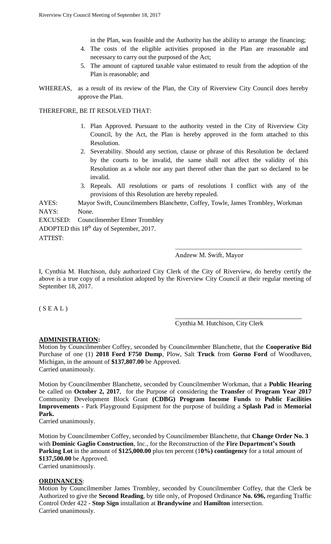in the Plan, was feasible and the Authority has the ability to arrange the financing;

- 4. The costs of the eligible activities proposed in the Plan are reasonable and necessary to carry out the purposed of the Act;
- 5. The amount of captured taxable value estimated to result from the adoption of the Plan is reasonable; and
- WHEREAS, as a result of its review of the Plan, the City of Riverview City Council does hereby approve the Plan.

# THEREFORE, BE IT RESOLVED THAT:

- 1. Plan Approved. Pursuant to the authority vested in the City of Riverview City Council, by the Act, the Plan is hereby approved in the form attached to this Resolution.
- 2. Severability. Should any section, clause or phrase of this Resolution be declared by the courts to be invalid, the same shall not affect the validity of this Resolution as a whole nor any part thereof other than the part so declared to be invalid.
- 3. Repeals. All resolutions or parts of resolutions I conflict with any of the provisions of this Resolution are hereby repealed.

AYES: Mayor Swift, Councilmembers Blanchette, Coffey, Towle, James Trombley, Workman NAYS: None.

EXCUSED: Councilmember Elmer Trombley ADOPTED this 18th day of September, 2017. ATTEST:

# Andrew M. Swift, Mayor

\_\_\_\_\_\_\_\_\_\_\_\_\_\_\_\_\_\_\_\_\_\_\_\_\_\_\_\_\_\_\_\_\_\_\_\_\_\_\_

\_\_\_\_\_\_\_\_\_\_\_\_\_\_\_\_\_\_\_\_\_\_\_\_\_\_\_\_\_\_\_\_\_\_\_\_\_\_\_

I, Cynthia M. Hutchison, duly authorized City Clerk of the City of Riverview, do hereby certify the above is a true copy of a resolution adopted by the Riverview City Council at their regular meeting of September 18, 2017.

 $(S E A L)$ 

# Cynthia M. Hutchison, City Clerk

# **ADMINISTRATION:**

Motion by Councilmember Coffey, seconded by Councilmember Blanchette, that the **Cooperative Bid**  Purchase of one (1) **2018 Ford F750 Dump**, Plow, Salt **Truck** from **Gorno Ford** of Woodhaven, Michigan, in the amount of **\$137,807.00** be Approved. Carried unanimously.

Motion by Councilmember Blanchette, seconded by Councilmember Workman, that a **Public Hearing**  be called on **October 2, 2017**, for the Purpose of considering the **Transfer** of **Program Year 2017**  Community Development Block Grant **(CDBG) Program Income Funds** to **Public Facilities Improvements** - Park Playground Equipment for the purpose of building a **Splash Pad** in **Memorial Park.**

Carried unanimously.

Motion by Councilmember Coffey, seconded by Councilmember Blanchette, that **Change Order No. 3** with **Dominic Gaglio Construction**, Inc., for the Reconstruction of the **Fire Department's South Parking Lot** in the amount of **\$125,000.00** plus ten percent (1**0%) contingency** for a total amount of **\$137,500.00** be Approved. Carried unanimously.

# **ORDINANCES**:

Motion by Councilmember James Trombley, seconded by Councilmember Coffey, that the Clerk be Authorized to give the **Second Reading**, by title only, of Proposed Ordinance **No. 696,** regarding Traffic Control Order 422 - **Stop Sign** installation at **Brandywine** and **Hamilton** intersection. Carried unanimously.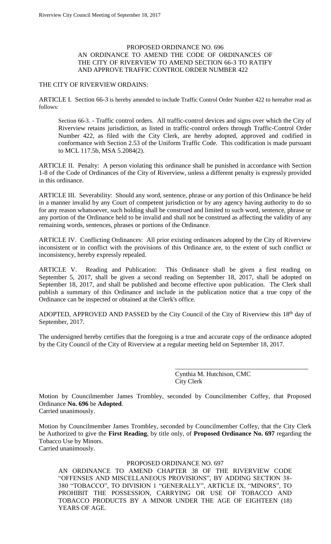# PROPOSED ORDINANCE NO. 696 AN ORDINANCE TO AMEND THE CODE OF ORDINANCES OF THE CITY OF RIVERVIEW TO AMEND SECTION 66-3 TO RATIFY AND APPROVE TRAFFIC CONTROL ORDER NUMBER 422

#### THE CITY OF RIVERVIEW ORDAINS:

ARTICLE I. Section 66-3 is hereby amended to include Traffic Control Order Number 422 to hereafter read as follows:

Section 66-3. - Traffic control orders. All traffic-control devices and signs over which the City of Riverview retains jurisdiction, as listed in traffic-control orders through Traffic-Control Order Number 422, as filed with the City Clerk, are hereby adopted, approved and codified in conformance with Section 2.53 of the Uniform Traffic Code. This codification is made pursuant to MCL 117.5b, MSA 5.2084(2).

ARTICLE II. Penalty: A person violating this ordinance shall be punished in accordance with Section 1-8 of the Code of Ordinances of the City of Riverview, unless a different penalty is expressly provided in this ordinance.

ARTICLE III. Severability: Should any word, sentence, phrase or any portion of this Ordinance be held in a manner invalid by any Court of competent jurisdiction or by any agency having authority to do so for any reason whatsoever, such holding shall be construed and limited to such word, sentence, phrase or any portion of the Ordinance held to be invalid and shall not be construed as affecting the validity of any remaining words, sentences, phrases or portions of the Ordinance.

ARTICLE IV. Conflicting Ordinances: All prior existing ordinances adopted by the City of Riverview inconsistent or in conflict with the provisions of this Ordinance are, to the extent of such conflict or inconsistency, hereby expressly repealed.

ARTICLE V. Reading and Publication: This Ordinance shall be given a first reading on September 5, 2017, shall be given a second reading on September 18, 2017, shall be adopted on September 18, 2017, and shall be published and become effective upon publication. The Clerk shall publish a summary of this Ordinance and include in the publication notice that a true copy of the Ordinance can be inspected or obtained at the Clerk's office.

ADOPTED, APPROVED AND PASSED by the City Council of the City of Riverview this 18<sup>th</sup> day of September, 2017.

The undersigned hereby certifies that the foregoing is a true and accurate copy of the ordinance adopted by the City Council of the City of Riverview at a regular meeting held on September 18, 2017.

> Cynthia M. Hutchison, CMC City Clerk

\_\_\_\_\_\_\_\_\_\_\_\_\_\_\_\_\_\_\_\_\_\_\_\_\_\_\_\_\_\_\_\_\_\_\_\_\_\_\_\_\_

Motion by Councilmember James Trombley, seconded by Councilmember Coffey, that Proposed Ordinance **No. 696** be **Adopted**. Carried unanimously.

Motion by Councilmember James Trombley, seconded by Councilmember Coffey, that the City Clerk be Authorized to give the **First Reading**, by title only, of **Proposed Ordinance No. 697** regarding the Tobacco Use by Minors.

Carried unanimously.

# PROPOSED ORDINANCE NO. 697

AN ORDINANCE TO AMEND CHAPTER 38 OF THE RIVERVIEW CODE "OFFENSES AND MISCELLANEOUS PROVISIONS", BY ADDING SECTION 38- 380 "TOBACCO", TO DIVISION 1 "GENERALLY", ARTICLE IX, "MINORS", TO PROHIBIT THE POSSESSION, CARRYING OR USE OF TOBACCO AND TOBACCO PRODUCTS BY A MINOR UNDER THE AGE OF EIGHTEEN (18) YEARS OF AGE.